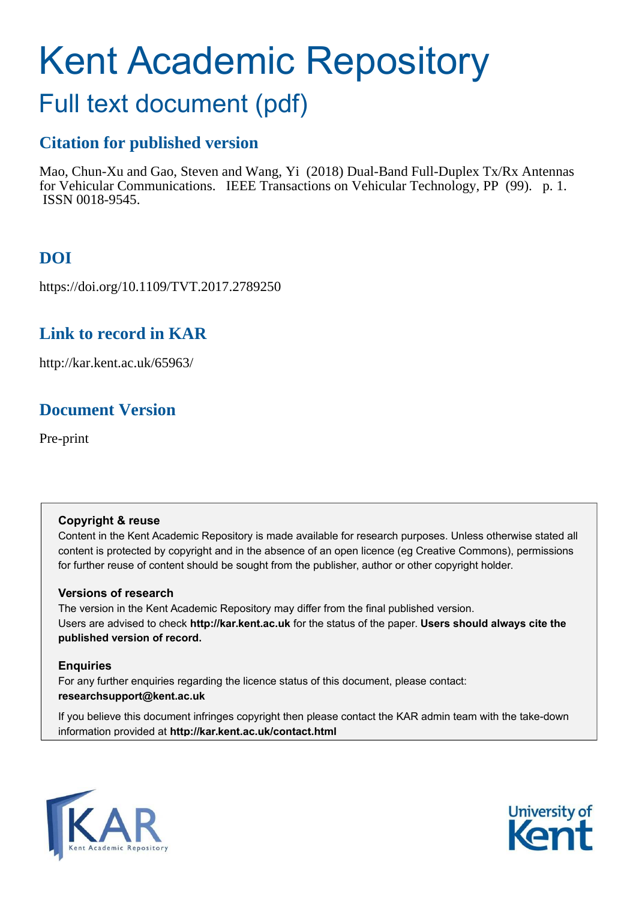# Kent Academic Repository

## Full text document (pdf)

## **Citation for published version**

Mao, Chun-Xu and Gao, Steven and Wang, Yi (2018) Dual-Band Full-Duplex Tx/Rx Antennas for Vehicular Communications. IEEE Transactions on Vehicular Technology, PP (99). p. 1. ISSN 0018-9545.

## **DOI**

https://doi.org/10.1109/TVT.2017.2789250

## **Link to record in KAR**

http://kar.kent.ac.uk/65963/

## **Document Version**

Pre-print

## **Copyright & reuse**

Content in the Kent Academic Repository is made available for research purposes. Unless otherwise stated all content is protected by copyright and in the absence of an open licence (eg Creative Commons), permissions for further reuse of content should be sought from the publisher, author or other copyright holder.

## **Versions of research**

The version in the Kent Academic Repository may differ from the final published version. Users are advised to check **http://kar.kent.ac.uk** for the status of the paper. **Users should always cite the published version of record.**

## **Enquiries**

For any further enquiries regarding the licence status of this document, please contact: **researchsupport@kent.ac.uk**

If you believe this document infringes copyright then please contact the KAR admin team with the take-down information provided at **http://kar.kent.ac.uk/contact.html**



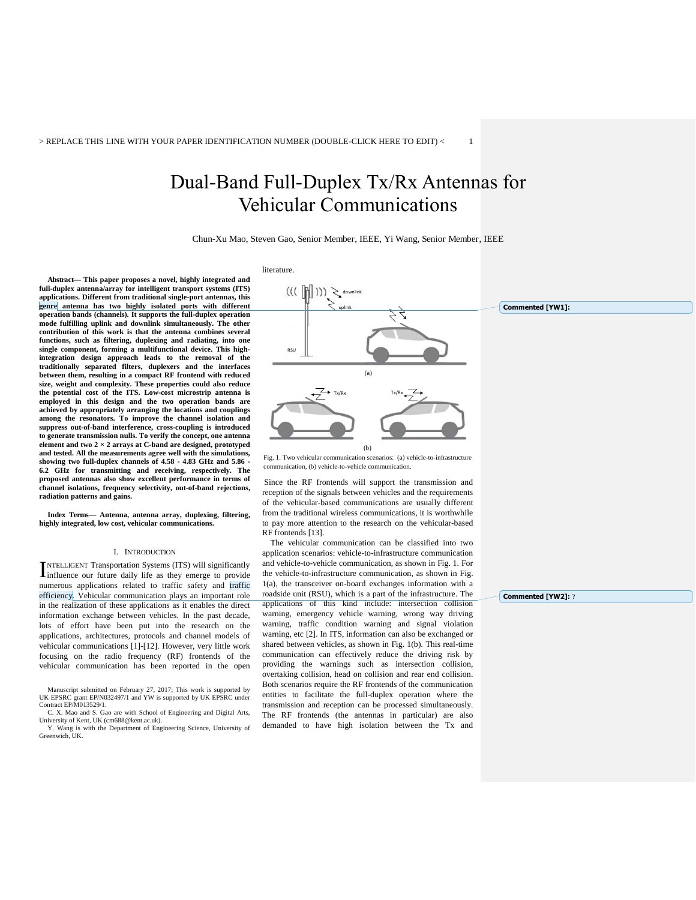## Dual-Band Full-Duplex Tx/Rx Antennas for Vehicular Communications

Chun-Xu Mao, Steven Gao, Senior Member, IEEE, Yi Wang, Senior Member, IEEE

**Abstract— This paper proposes a novel, highly integrated and full-duplex antenna/array for intelligent transport systems (ITS) applications. Different from traditional single-port antennas, this genre antenna has two highly isolated ports with different operation bands (channels). It supports the full-duplex operation mode fulfilling uplink and downlink simultaneously. The other contribution of this work is that the antenna combines several functions, such as filtering, duplexing and radiating, into one single component, forming a multifunctional device. This highintegration design approach leads to the removal of the traditionally separated filters, duplexers and the interfaces between them, resulting in a compact RF frontend with reduced size, weight and complexity. These properties could also reduce the potential cost of the ITS. Low-cost microstrip antenna is employed in this design and the two operation bands are achieved by appropriately arranging the locations and couplings among the resonators. To improve the channel isolation and suppress out-of-band interference, cross-coupling is introduced to generate transmission nulls. To verify the concept, one antenna**  element and two  $2 \times 2$  arrays at C-band are designed, prototyped **and tested. All the measurements agree well with the simulations, showing two full-duplex channels of 4.58 - 4.83 GHz and 5.86 - 6.2 GHz for transmitting and receiving, respectively. The proposed antennas also show excellent performance in terms of channel isolations, frequency selectivity, out-of-band rejections, radiation patterns and gains.** 

**Index Terms— Antenna, antenna array, duplexing, filtering, highly integrated, low cost, vehicular communications.** 

#### I. INTRODUCTION

NTELLIGENT Transportation Systems (ITS) will significantly INTELLIGENT Transportation Systems (ITS) will significantly influence our future daily life as they emerge to provide numerous applications related to traffic safety and traffic efficiency. Vehicular communication plays an important role in the realization of these applications as it enables the direct information exchange between vehicles. In the past decade, lots of effort have been put into the research on the applications, architectures, protocols and channel models of vehicular communications [1]-[12]. However, very little work focusing on the radio frequency (RF) frontends of the vehicular communication has been reported in the open

Manuscript submitted on February 27, 2017; This work is supported by UK EPSRC under Contract EP/M013529/1.<br>UK EPSRC grant EP/N013529/1. and YW is supported by UK EPSRC under



communication, (b) vehicle-to-vehicle communication.

 Since the RF frontends will support the transmission and reception of the signals between vehicles and the requirements of the vehicular-based communications are usually different from the traditional wireless communications, it is worthwhile to pay more attention to the research on the vehicular-based RF frontends [13].

 The vehicular communication can be classified into two application scenarios: vehicle-to-infrastructure communication and vehicle-to-vehicle communication, as shown in Fig. 1. For the vehicle-to-infrastructure communication, as shown in Fig. 1(a), the transceiver on-board exchanges information with a roadside unit (RSU), which is a part of the infrastructure. The applications of this kind include: intersection collision warning, emergency vehicle warning, wrong way driving warning, traffic condition warning and signal violation warning, etc [2]. In ITS, information can also be exchanged or shared between vehicles, as shown in Fig. 1(b). This real-time communication can effectively reduce the driving risk by providing the warnings such as intersection collision, overtaking collision, head on collision and rear end collision. Both scenarios require the RF frontends of the communication entities to facilitate the full-duplex operation where the transmission and reception can be processed simultaneously. The RF frontends (the antennas in particular) are also demanded to have high isolation between the Tx and

**Commented [YW2]:** ?

C. X. Mao and S. Gao are with School of Engineering and Digital Arts, University of Kent, UK (cm688@kent.ac.uk).

Y. Wang is with the Department of Engineering Science, University of Greenwich, UK.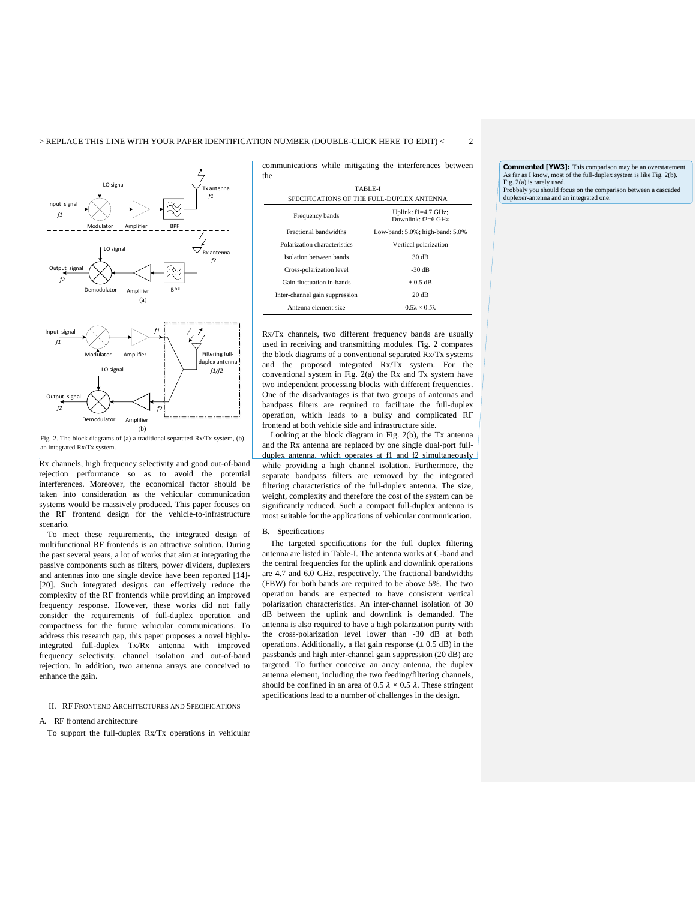

Fig. 2. The block diagrams of (a) a traditional separated Rx/Tx system, (b) an integrated Rx/Tx system.

Rx channels, high frequency selectivity and good out-of-band rejection performance so as to avoid the potential interferences. Moreover, the economical factor should be taken into consideration as the vehicular communication systems would be massively produced. This paper focuses on the RF frontend design for the vehicle-to-infrastructure scenario.

 To meet these requirements, the integrated design of multifunctional RF frontends is an attractive solution. During the past several years, a lot of works that aim at integrating the passive components such as filters, power dividers, duplexers and antennas into one single device have been reported [14]- [20]. Such integrated designs can effectively reduce the complexity of the RF frontends while providing an improved frequency response. However, these works did not fully consider the requirements of full-duplex operation and compactness for the future vehicular communications. To address this research gap, this paper proposes a novel highlyintegrated full-duplex Tx/Rx antenna with improved frequency selectivity, channel isolation and out-of-band rejection. In addition, two antenna arrays are conceived to enhance the gain.

#### II. RF FRONTEND ARCHITECTURES AND SPECIFICATIONS

#### A. RF frontend architecture

To support the full-duplex Rx/Tx operations in vehicular

communications while mitigating the interferences between the  $\overline{\phantom{a}}$ 

| TABLE-L<br>SPECIFICATIONS OF THE FULL-DUPLEX ANTENNA |                                                 |  |  |
|------------------------------------------------------|-------------------------------------------------|--|--|
| Frequency bands                                      | Uplink: $fl = 4.7$ GHz;<br>Downlink: $f2=6$ GHz |  |  |
| Fractional bandwidths                                | Low-band: 5.0%; high-band: 5.0%                 |  |  |
| Polarization characteristics                         | Vertical polarization                           |  |  |
| Isolation between bands                              | 30 dB                                           |  |  |
| Cross-polarization level                             | $-30dB$                                         |  |  |
| Gain fluctuation in-bands                            | $\pm 0.5$ dB                                    |  |  |
| Inter-channel gain suppression                       | 20 dB                                           |  |  |
| Antenna element size                                 | $0.5\lambda \times 0.5\lambda$                  |  |  |

Rx/Tx channels, two different frequency bands are usually used in receiving and transmitting modules. Fig. 2 compares the block diagrams of a conventional separated Rx/Tx systems and the proposed integrated Rx/Tx system. For the conventional system in Fig. 2(a) the Rx and Tx system have two independent processing blocks with different frequencies. One of the disadvantages is that two groups of antennas and bandpass filters are required to facilitate the full-duplex operation, which leads to a bulky and complicated RF frontend at both vehicle side and infrastructure side.

 Looking at the block diagram in Fig. 2(b), the Tx antenna and the Rx antenna are replaced by one single dual-port fullduplex antenna, which operates at f1 and f2 simultaneously while providing a high channel isolation. Furthermore, the separate bandpass filters are removed by the integrated filtering characteristics of the full-duplex antenna. The size, weight, complexity and therefore the cost of the system can be significantly reduced. Such a compact full-duplex antenna is most suitable for the applications of vehicular communication.

#### B. Specifications

The targeted specifications for the full duplex filtering antenna are listed in Table-I. The antenna works at C-band and the central frequencies for the uplink and downlink operations are 4.7 and 6.0 GHz, respectively. The fractional bandwidths (FBW) for both bands are required to be above 5%. The two operation bands are expected to have consistent vertical polarization characteristics. An inter-channel isolation of 30 dB between the uplink and downlink is demanded. The antenna is also required to have a high polarization purity with the cross-polarization level lower than -30 dB at both operations. Additionally, a flat gain response  $(\pm 0.5$  dB) in the passbands and high inter-channel gain suppression (20 dB) are targeted. To further conceive an array antenna, the duplex antenna element, including the two feeding/filtering channels, should be confined in an area of  $0.5 \lambda \times 0.5 \lambda$ . These stringent specifications lead to a number of challenges in the design.

**Commented [YW3]:** This comparison may be an overstatement. As far as I know, most of the full-duplex system is like Fig. 2(b). Fig. 2(a) is rarely used. Probbaly you should focus on the comparison between a cascaded duplexer-antenna and an integrated one.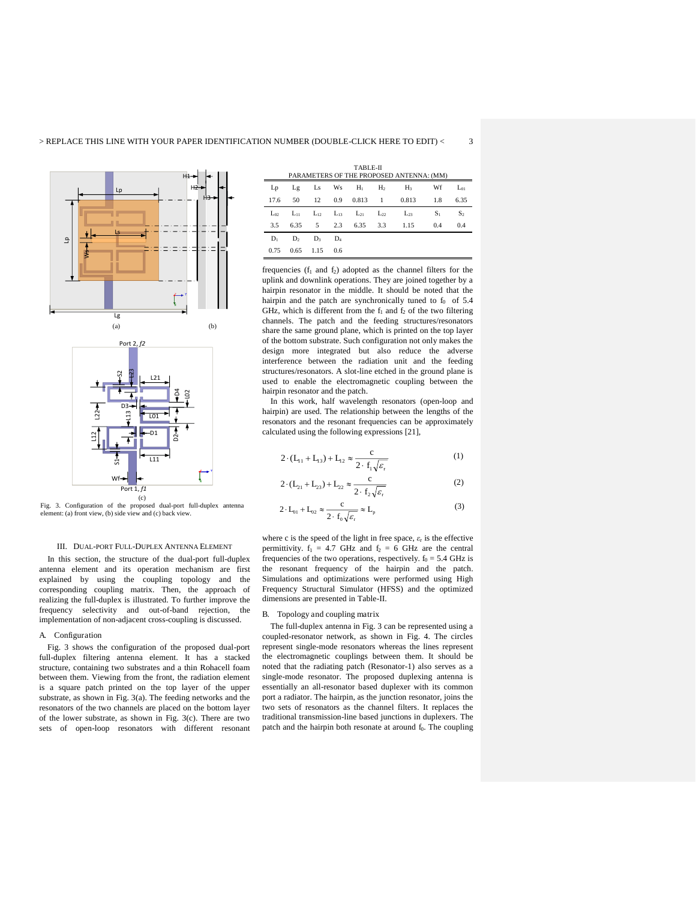



Fig. 3. Configuration of the proposed dual-port full-duplex antenna element: (a) front view, (b) side view and (c) back view.

#### III. DUAL-PORT FULL-DUPLEX ANTENNA ELEMENT

In this section, the structure of the dual-port full-duplex antenna element and its operation mechanism are first explained by using the coupling topology and the corresponding coupling matrix. Then, the approach of realizing the full-duplex is illustrated. To further improve the frequency selectivity and out-of-band rejection, the implementation of non-adjacent cross-coupling is discussed.

#### A. Configuration

Fig. 3 shows the configuration of the proposed dual-port full-duplex filtering antenna element. It has a stacked structure, containing two substrates and a thin Rohacell foam between them. Viewing from the front, the radiation element is a square patch printed on the top layer of the upper substrate, as shown in Fig. 3(a). The feeding networks and the resonators of the two channels are placed on the bottom layer of the lower substrate, as shown in Fig. 3(c). There are two sets of open-loop resonators with different resonant TABLE-II

| PARAMETERS OF THE PROPOSED ANTENNA: (MM) |                         |      |     |  |  |                                                                |       |                |
|------------------------------------------|-------------------------|------|-----|--|--|----------------------------------------------------------------|-------|----------------|
|                                          |                         |      |     |  |  | $Lp$ $Lg$ $Ls$ $Ws$ $H_1$ $H_2$ $H_3$                          | Wf    | $L_{01}$       |
|                                          |                         |      |     |  |  | 17.6 50 12 0.9 0.813 1 0.813 1.8                               |       | 6.35           |
|                                          |                         |      |     |  |  | $L_{02}$ $L_{11}$ $L_{12}$ $L_{13}$ $L_{21}$ $L_{22}$ $L_{23}$ | $S_1$ | S <sub>2</sub> |
|                                          |                         |      |     |  |  | 3.5 6.35 5 2.3 6.35 3.3 1.15                                   | 0.4   | 0.4            |
|                                          | $D_1$ $D_2$ $D_3$ $D_4$ |      |     |  |  |                                                                |       |                |
| 0.75                                     | 0.65                    | 1.15 | 0.6 |  |  |                                                                |       |                |

frequencies  $(f_1$  and  $f_2)$  adopted as the channel filters for the uplink and downlink operations. They are joined together by a hairpin resonator in the middle. It should be noted that the hairpin and the patch are synchronically tuned to  $f_0$  of 5.4 GHz, which is different from the  $f_1$  and  $f_2$  of the two filtering channels. The patch and the feeding structures/resonators share the same ground plane, which is printed on the top layer of the bottom substrate. Such configuration not only makes the design more integrated but also reduce the adverse interference between the radiation unit and the feeding structures/resonators. A slot-line etched in the ground plane is used to enable the electromagnetic coupling between the hairpin resonator and the patch.

In this work, half wavelength resonators (open-loop and hairpin) are used. The relationship between the lengths of the resonators and the resonant frequencies can be approximately calculated using the following expressions [21],

$$
2 \cdot (\mathbf{L}_{11} + \mathbf{L}_{13}) + \mathbf{L}_{12} \approx \frac{c}{2 \cdot f_1 \sqrt{\varepsilon_r}}
$$
 (1)

$$
2 \cdot (L_{21} + L_{23}) + L_{22} \approx \frac{c}{2 \cdot f_2 \sqrt{\varepsilon_r}}
$$
 (2)

$$
2 \cdot L_{01} + L_{02} \approx \frac{c}{2 \cdot f_0 \sqrt{\varepsilon_r}} \approx L_p \tag{3}
$$

where c is the speed of the light in free space,  $\varepsilon$ <sub>r</sub> is the effective permittivity.  $f_1 = 4.7$  GHz and  $f_2 = 6$  GHz are the central frequencies of the two operations, respectively.  $f_0 = 5.4$  GHz is the resonant frequency of the hairpin and the patch. Simulations and optimizations were performed using High Frequency Structural Simulator (HFSS) and the optimized dimensions are presented in Table-II.

#### B. Topology and coupling matrix

The full-duplex antenna in Fig. 3 can be represented using a coupled-resonator network, as shown in Fig. 4. The circles represent single-mode resonators whereas the lines represent the electromagnetic couplings between them. It should be noted that the radiating patch (Resonator-1) also serves as a single-mode resonator. The proposed duplexing antenna is essentially an all-resonator based duplexer with its common port a radiator. The hairpin, as the junction resonator, joins the two sets of resonators as the channel filters. It replaces the traditional transmission-line based junctions in duplexers. The patch and the hairpin both resonate at around  $f_0$ . The coupling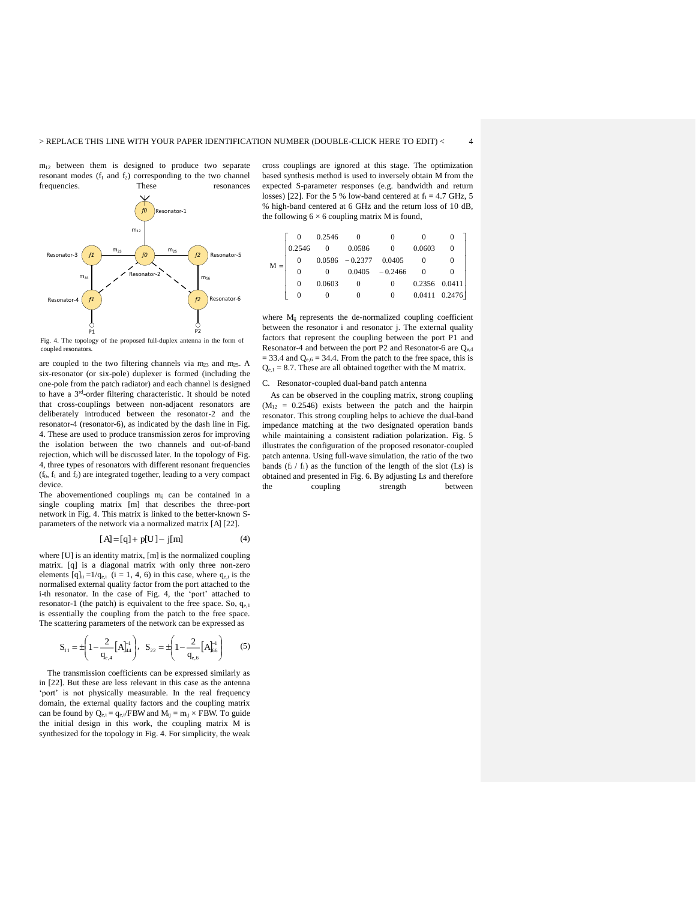$m_{12}$  between them is designed to produce two separate resonant modes  $(f_1 \text{ and } f_2)$  corresponding to the two channel frequencies. These resonances frequencies. These resonances



Fig. 4. The topology of the proposed full-duplex antenna in the form of coupled resonators.

are coupled to the two filtering channels via m<sub>23</sub> and m<sub>25</sub>. A six-resonator (or six-pole) duplexer is formed (including the one-pole from the patch radiator) and each channel is designed to have a 3 rd-order filtering characteristic. It should be noted that cross-couplings between non-adjacent resonators are deliberately introduced between the resonator-2 and the resonator-4 (resonator-6), as indicated by the dash line in Fig. 4. These are used to produce transmission zeros for improving the isolation between the two channels and out-of-band rejection, which will be discussed later. In the topology of Fig. 4, three types of resonators with different resonant frequencies  $(f_0, f_1 \text{ and } f_2)$  are integrated together, leading to a very compact device.

The abovementioned couplings  $m_{ij}$  can be contained in a single coupling matrix [m] that describes the three-port network in Fig. 4. This matrix is linked to the better-known Sparameters of the network via a normalized matrix [A] [22].

$$
[A] = [q] + p[U] - j[m]
$$
 (4)

where [U] is an identity matrix, [m] is the normalized coupling matrix. [q] is a diagonal matrix with only three non-zero elements  $[q]_{ii} = 1/q_{e,i}$  (i = 1, 4, 6) in this case, where  $q_{e,i}$  is the normalised external quality factor from the port attached to the i-th resonator. In the case of Fig. 4, the 'port' attached to resonator-1 (the patch) is equivalent to the free space. So, qe,1 is essentially the coupling from the patch to the free space. The scattering parameters of the network can be expressed as

$$
S_{11} = \pm \left(1 - \frac{2}{q_{e,4}} \left[A\right]_{44}^{-1}\right), \ \ S_{22} = \pm \left(1 - \frac{2}{q_{e,6}} \left[A\right]_{66}^{-1}\right) \tag{5}
$$

The transmission coefficients can be expressed similarly as in [22]. But these are less relevant in this case as the antenna 'port' is not physically measurable. In the real frequency domain, the external quality factors and the coupling matrix can be found by  $Q_{e,i} = q_{e,i}/FBW$  and  $M_{ij} = m_{ij} \times FBW$ . To guide the initial design in this work, the coupling matrix M is synthesized for the topology in Fig. 4. For simplicity, the weak

cross couplings are ignored at this stage. The optimization based synthesis method is used to inversely obtain M from the expected S-parameter responses (e.g. bandwidth and return losses) [22]. For the 5 % low-band centered at  $f_1 = 4.7$  GHz, 5 % high-band centered at 6 GHz and the return loss of 10 dB, the following  $6 \times 6$  coupling matrix M is found,

|       |          | 0.2546 |                          | $\Omega$          |        |                   |
|-------|----------|--------|--------------------------|-------------------|--------|-------------------|
|       | 0.2546   |        | 0.0586                   |                   | 0.0603 | $\Omega$          |
| $M =$ | 0        |        | $0.0586 - 0.2377 0.0405$ |                   |        | $\theta$          |
|       | $\Omega$ |        |                          | $0.0405 - 0.2466$ |        |                   |
|       | 0        | 0.0603 | 0                        | $\Omega$          |        | $0.2356$ $0.0411$ |
|       | 0        |        |                          | $\Omega$          |        | $0.0411$ $0.2476$ |

where M<sub>ij</sub> represents the de-normalized coupling coefficient between the resonator i and resonator j. The external quality factors that represent the coupling between the port P1 and Resonator-4 and between the port P2 and Resonator-6 are  $Q_{e,4}$  $= 33.4$  and  $Q_{e,6} = 34.4$ . From the patch to the free space, this is  $Q_{e,1} = 8.7$ . These are all obtained together with the M matrix.

C. Resonator-coupled dual-band patch antenna

 As can be observed in the coupling matrix, strong coupling  $(M_{12} = 0.2546)$  exists between the patch and the hairpin resonator. This strong coupling helps to achieve the dual-band impedance matching at the two designated operation bands while maintaining a consistent radiation polarization. Fig. 5 illustrates the configuration of the proposed resonator-coupled patch antenna. Using full-wave simulation, the ratio of the two bands  $(f_2 / f_1)$  as the function of the length of the slot (Ls) is obtained and presented in Fig. 6. By adjusting Ls and therefore coupling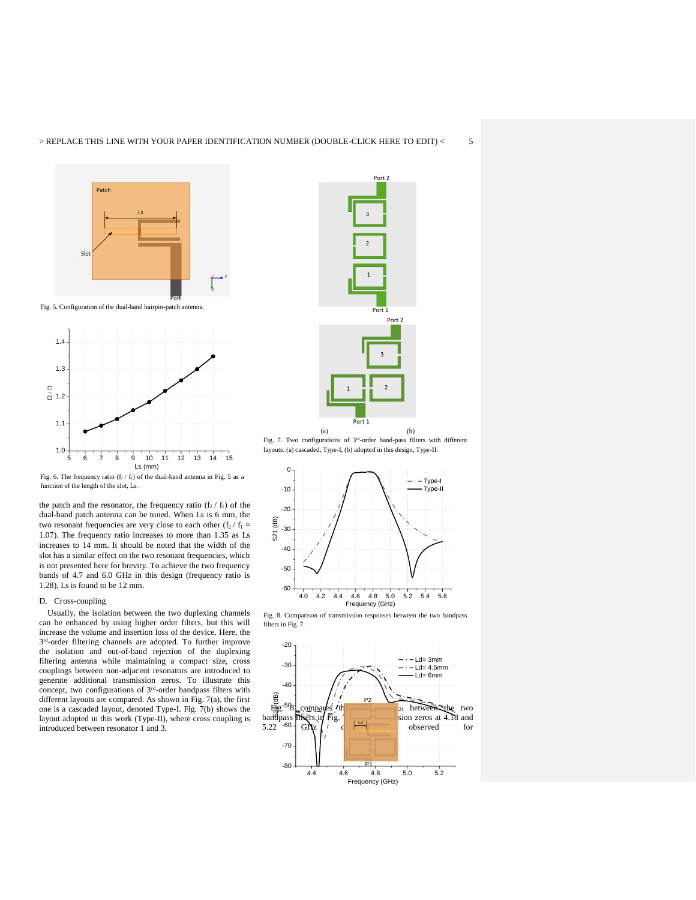



Fig. 6. The frequency ratio  $(f_2 / f_1)$  of the dual-band antenna in Fig. 5 as a function of the length of the slot, Ls.

the patch and the resonator, the frequency ratio  $(f_2 / f_1)$  of the dual-band patch antenna can be tuned. When Ls is 6 mm, the two resonant frequencies are very close to each other ( $f_2 / f_1 =$ 1.07). The frequency ratio increases to more than 1.35 as Ls increases to 14 mm. It should be noted that the width of the slot has a similar effect on the two resonant frequencies, which is not presented here for brevity. To achieve the two frequency bands of 4.7 and 6.0 GHz in this design (frequency ratio is 1.28), Ls is found to be 12 mm.

#### D. Cross-coupling

 Usually, the isolation between the two duplexing channels can be enhanced by using higher order filters, but this will increase the volume and insertion loss of the device. Here, the 3<sup>rd</sup>-order filtering channels are adopted. To further improve the isolation and out-of-band rejection of the duplexing filtering antenna while maintaining a compact size, cross couplings between non-adjacent resonators are introduced to generate additional transmission zeros. To illustrate this concept, two configurations of  $3<sup>rd</sup>$ -order bandpass filters with different layouts are compared. As shown in Fig. 7(a), the first one is a cascaded layout, denoted Type-I. Fig. 7(b) shows the layout adopted in this work (Type-II), where cross coupling is introduced between resonator 1 and 3.



Fig. 7. Two configurations of 3<sup>rd</sup>-order band-pass filters with different layouts: (a) cascaded, Type-I, (b) adopted in this design, Type-II.



Fig. 8. Comparison of transmission responses between the two bandpass filters in Fig. 7.

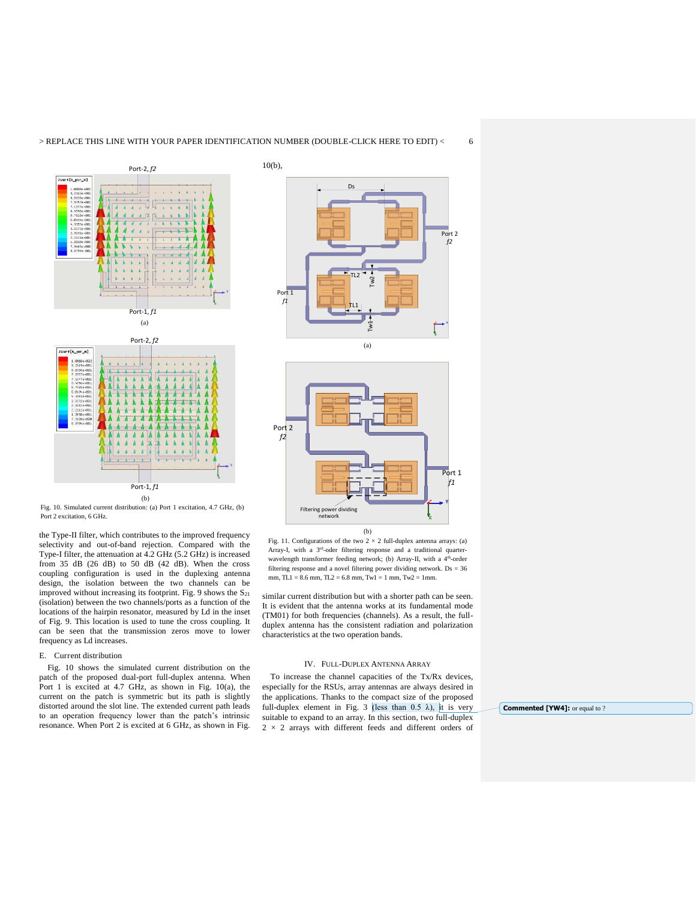

Fig. 10. Simulated current distribution: (a) Port 1 excitation, 4.7 GHz, (b) Port 2 excitation, 6 GHz.

the Type-II filter, which contributes to the improved frequency selectivity and out-of-band rejection. Compared with the Type-I filter, the attenuation at 4.2 GHz (5.2 GHz) is increased from 35 dB (26 dB) to 50 dB (42 dB). When the cross coupling configuration is used in the duplexing antenna design, the isolation between the two channels can be improved without increasing its footprint. Fig. 9 shows the  $S_{21}$ (isolation) between the two channels/ports as a function of the locations of the hairpin resonator, measured by Ld in the inset of Fig. 9. This location is used to tune the cross coupling. It can be seen that the transmission zeros move to lower frequency as Ld increases.

#### E. Current distribution

 Fig. 10 shows the simulated current distribution on the patch of the proposed dual-port full-duplex antenna. When Port 1 is excited at 4.7 GHz, as shown in Fig. 10(a), the current on the patch is symmetric but its path is slightly distorted around the slot line. The extended current path leads to an operation frequency lower than the patch's intrinsic resonance. When Port 2 is excited at 6 GHz, as shown in Fig.





Fig. 11. Configurations of the two  $2 \times 2$  full-duplex antenna arrays: (a) Array-I, with a 3<sup>rd</sup>-oder filtering response and a traditional quarterwavelength transformer feeding network; (b) Array-II, with a 4<sup>th</sup>-order filtering response and a novel filtering power dividing network. Ds = 36 mm,  $TL1 = 8.6$  mm,  $TL2 = 6.8$  mm,  $Tw1 = 1$  mm,  $Tw2 = 1$ mm.

similar current distribution but with a shorter path can be seen. It is evident that the antenna works at its fundamental mode (TM01) for both frequencies (channels). As a result, the fullduplex antenna has the consistent radiation and polarization characteristics at the two operation bands.

#### IV. FULL-DUPLEX ANTENNA ARRAY

 To increase the channel capacities of the Tx/Rx devices, especially for the RSUs, array antennas are always desired in the applications. Thanks to the compact size of the proposed full-duplex element in Fig. 3 (less than 0.5  $\lambda$ ), it is very suitable to expand to an array. In this section, two full-duplex  $2 \times 2$  arrays with different feeds and different orders of

**Commented [YW4]:** or equal to ?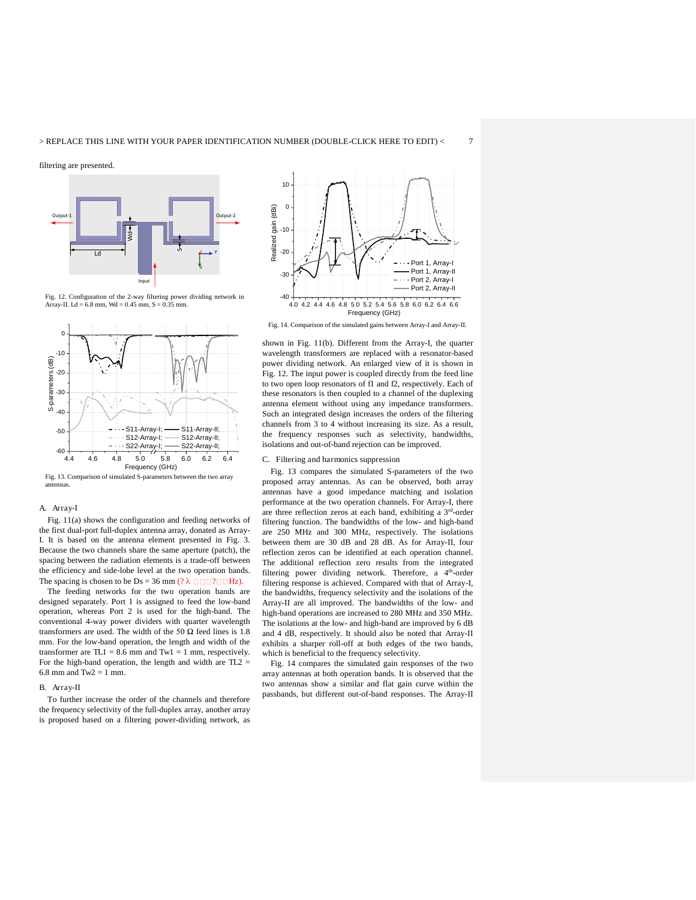filtering are presented.



Fig. 12. Configuration of the 2-way filtering power dividing network in Array-II. Ld = 6.8 mm, Wd = 0.45 mm, S = 0.35 mm.



Fig. 13. Comparison of simulated S-parameters between the two array antennas.

#### A. Array-I

 Fig. 11(a) shows the configuration and feeding networks of the first dual-port full-duplex antenna array, donated as Array-I. It is based on the antenna element presented in Fig. 3. Because the two channels share the same aperture (patch), the spacing between the radiation elements is a trade-off between the efficiency and side-lobe level at the two operation bands. The spacing is chosen to be Ds = 36 mm (?  $\lambda$   $\Box$  $\Box$  $\Box$  $\Box$  $\Box$  $\Box$  $\Box$  $\Box$ ).

 The feeding networks for the two operation bands are designed separately. Port 1 is assigned to feed the low-band operation, whereas Port 2 is used for the high-band. The conventional 4-way power dividers with quarter wavelength transformers are used. The width of the 50  $\Omega$  feed lines is 1.8 mm. For the low-band operation, the length and width of the transformer are  $TL1 = 8.6$  mm and  $Tw1 = 1$  mm, respectively. For the high-band operation, the length and width are TL2 = 6.8 mm and  $Tw2 = 1$  mm.

#### B. Array-II

 To further increase the order of the channels and therefore the frequency selectivity of the full-duplex array, another array is proposed based on a filtering power-dividing network, as



Fig. 14. Comparison of the simulated gains between Array-I and Array-II.

shown in Fig. 11(b). Different from the Array-I, the quarter wavelength transformers are replaced with a resonator-based power dividing network. An enlarged view of it is shown in Fig. 12. The input power is coupled directly from the feed line to two open loop resonators of f1 and f2, respectively. Each of these resonators is then coupled to a channel of the duplexing antenna element without using any impedance transformers. Such an integrated design increases the orders of the filtering channels from 3 to 4 without increasing its size. As a result, the frequency responses such as selectivity, bandwidths, isolations and out-of-band rejection can be improved.

#### C. Filtering and harmonics suppression

 Fig. 13 compares the simulated S-parameters of the two proposed array antennas. As can be observed, both array antennas have a good impedance matching and isolation performance at the two operation channels. For Array-I, there are three reflection zeros at each band, exhibiting a 3 rd-order filtering function. The bandwidths of the low- and high-band are 250 MHz and 300 MHz, respectively. The isolations between them are 30 dB and 28 dB. As for Array-II, four reflection zeros can be identified at each operation channel. The additional reflection zero results from the integrated filtering power dividing network. Therefore, a 4<sup>th</sup>-order filtering response is achieved. Compared with that of Array-I, the bandwidths, frequency selectivity and the isolations of the Array-II are all improved. The bandwidths of the low- and high-band operations are increased to 280 MHz and 350 MHz. The isolations at the low- and high-band are improved by 6 dB and 4 dB, respectively. It should also be noted that Array-II exhibits a sharper roll-off at both edges of the two bands, which is beneficial to the frequency selectivity.

 Fig. 14 compares the simulated gain responses of the two array antennas at both operation bands. It is observed that the two antennas show a similar and flat gain curve within the passbands, but different out-of-band responses. The Array-II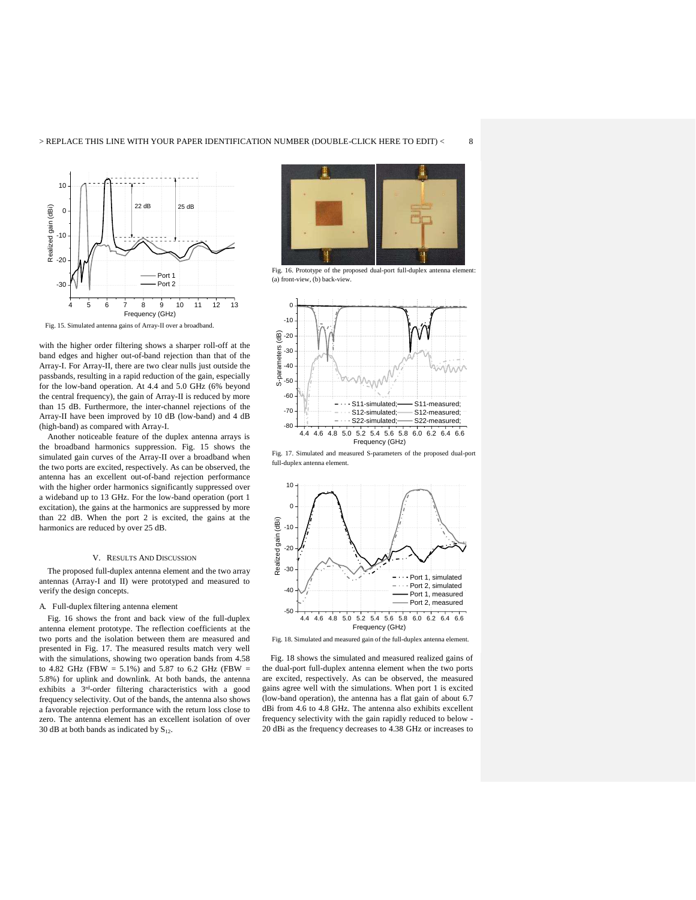

Fig. 15. Simulated antenna gains of Array-II over a broadband.

with the higher order filtering shows a sharper roll-off at the band edges and higher out-of-band rejection than that of the Array-I. For Array-II, there are two clear nulls just outside the passbands, resulting in a rapid reduction of the gain, especially for the low-band operation. At 4.4 and 5.0 GHz (6% beyond the central frequency), the gain of Array-II is reduced by more than 15 dB. Furthermore, the inter-channel rejections of the Array-II have been improved by 10 dB (low-band) and 4 dB (high-band) as compared with Array-I.

 Another noticeable feature of the duplex antenna arrays is the broadband harmonics suppression. Fig. 15 shows the simulated gain curves of the Array-II over a broadband when the two ports are excited, respectively. As can be observed, the antenna has an excellent out-of-band rejection performance with the higher order harmonics significantly suppressed over a wideband up to 13 GHz. For the low-band operation (port 1 excitation), the gains at the harmonics are suppressed by more than 22 dB. When the port 2 is excited, the gains at the harmonics are reduced by over 25 dB.

#### V. RESULTS AND DISCUSSION

The proposed full-duplex antenna element and the two array antennas (Array-I and II) were prototyped and measured to verify the design concepts.

#### A. Full-duplex filtering antenna element

Fig. 16 shows the front and back view of the full-duplex antenna element prototype. The reflection coefficients at the two ports and the isolation between them are measured and presented in Fig. 17. The measured results match very well with the simulations, showing two operation bands from 4.58 to 4.82 GHz (FBW = 5.1%) and 5.87 to 6.2 GHz (FBW = 5.8%) for uplink and downlink. At both bands, the antenna exhibits a 3 rd-order filtering characteristics with a good frequency selectivity. Out of the bands, the antenna also shows a favorable rejection performance with the return loss close to zero. The antenna element has an excellent isolation of over 30 dB at both bands as indicated by  $S_{12}$ .



Fig. 16. Prototype of the proposed dual-port full-duplex antenna element: (a) front-view, (b) back-view.



Fig. 17. Simulated and measured S-parameters of the proposed dual-port full-duplex antenna element.



Fig. 18. Simulated and measured gain of the full-duplex antenna element.

 Fig. 18 shows the simulated and measured realized gains of the dual-port full-duplex antenna element when the two ports are excited, respectively. As can be observed, the measured gains agree well with the simulations. When port 1 is excited (low-band operation), the antenna has a flat gain of about 6.7 dBi from 4.6 to 4.8 GHz. The antenna also exhibits excellent frequency selectivity with the gain rapidly reduced to below - 20 dBi as the frequency decreases to 4.38 GHz or increases to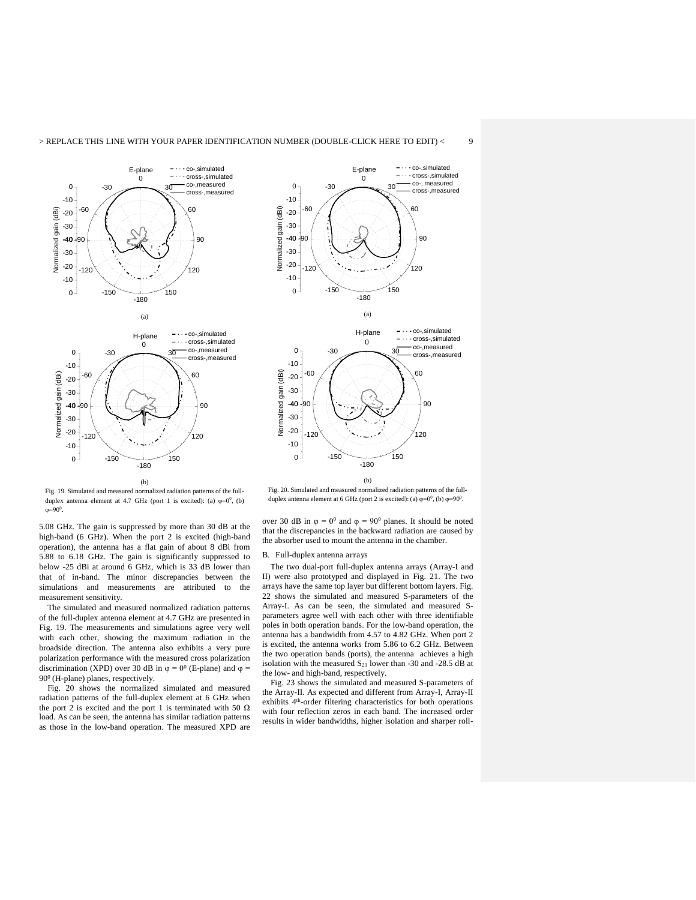



Fig. 19. Simulated and measured normalized radiation patterns of the fullduplex antenna element at 4.7 GHz (port 1 is excited): (a)  $\varphi=0^0$ , (b)  $\varphi = 90^{\circ}$ .

5.08 GHz. The gain is suppressed by more than 30 dB at the high-band (6 GHz). When the port 2 is excited (high-band operation), the antenna has a flat gain of about 8 dBi from 5.88 to 6.18 GHz. The gain is significantly suppressed to below -25 dBi at around 6 GHz, which is 33 dB lower than that of in-band. The minor discrepancies between the simulations and measurements are attributed to the measurement sensitivity.

The simulated and measured normalized radiation patterns of the full-duplex antenna element at 4.7 GHz are presented in Fig. 19. The measurements and simulations agree very well with each other, showing the maximum radiation in the broadside direction. The antenna also exhibits a very pure polarization performance with the measured cross polarization discrimination (XPD) over 30 dB in  $\varphi = 0^0$  (E-plane) and  $\varphi =$ 90<sup>0</sup> (H-plane) planes, respectively.

 Fig. 20 shows the normalized simulated and measured radiation patterns of the full-duplex element at 6 GHz when the port 2 is excited and the port 1 is terminated with 50  $\Omega$ load. As can be seen, the antenna has similar radiation patterns as those in the low-band operation. The measured XPD are



(b) Fig. 20. Simulated and measured normalized radiation patterns of the fullduplex antenna element at 6 GHz (port 2 is excited): (a)  $\varphi=0^0$ , (b)  $\varphi=90^0$ .

over 30 dB in  $\varphi = 0^0$  and  $\varphi = 90^0$  planes. It should be noted that the discrepancies in the backward radiation are caused by the absorber used to mount the antenna in the chamber.

#### B. Full-duplex antenna arrays

 The two dual-port full-duplex antenna arrays (Array-I and II) were also prototyped and displayed in Fig. 21. The two arrays have the same top layer but different bottom layers. Fig. 22 shows the simulated and measured S-parameters of the Array-I. As can be seen, the simulated and measured Sparameters agree well with each other with three identifiable poles in both operation bands. For the low-band operation, the antenna has a bandwidth from 4.57 to 4.82 GHz. When port 2 is excited, the antenna works from 5.86 to 6.2 GHz. Between the two operation bands (ports), the antenna achieves a high isolation with the measured  $S_{21}$  lower than -30 and -28.5 dB at the low- and high-band, respectively.

 Fig. 23 shows the simulated and measured S-parameters of the Array-II. As expected and different from Array-I, Array-II exhibits 4th-order filtering characteristics for both operations with four reflection zeros in each band. The increased order results in wider bandwidths, higher isolation and sharper roll-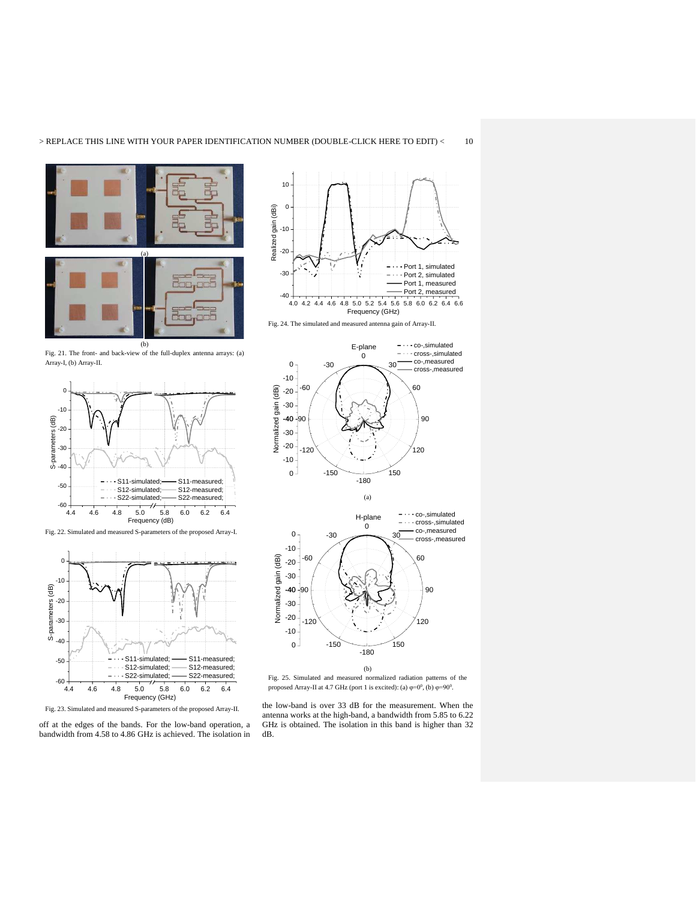





Fig. 22. Simulated and measured S-parameters of the proposed Array-I.



Fig. 23. Simulated and measured S-parameters of the proposed Array-II.

off at the edges of the bands. For the low-band operation, a bandwidth from 4.58 to 4.86 GHz is achieved. The isolation in









Fig. 25. Simulated and measured normalized radiation patterns of the proposed Array-II at 4.7 GHz (port 1 is excited): (a)  $\varphi=0^0$ , (b)  $\varphi=90^0$ .

the low-band is over 33 dB for the measurement. When the antenna works at the high-band, a bandwidth from 5.85 to 6.22 GHz is obtained. The isolation in this band is higher than 32 dB.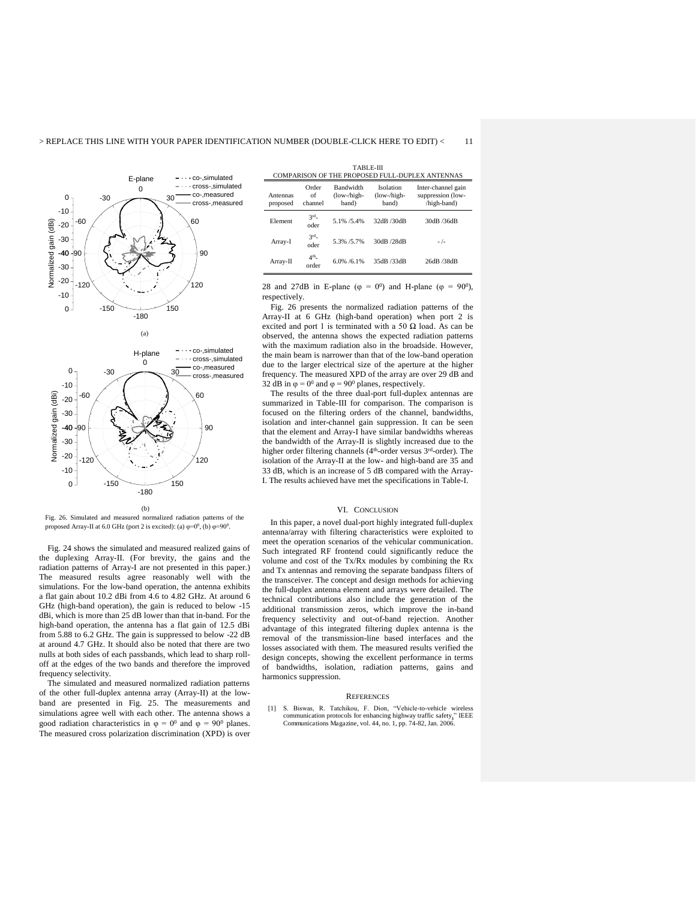



Fig. 26. Simulated and measured normalized radiation patterns of the proposed Array-II at 6.0 GHz (port 2 is excited): (a)  $\varphi=0^0$ , (b)  $\varphi=90^0$ .

 Fig. 24 shows the simulated and measured realized gains of the duplexing Array-II. (For brevity, the gains and the radiation patterns of Array-I are not presented in this paper.) The measured results agree reasonably well with the simulations. For the low-band operation, the antenna exhibits a flat gain about 10.2 dBi from 4.6 to 4.82 GHz. At around 6 GHz (high-band operation), the gain is reduced to below -15 dBi, which is more than 25 dB lower than that in-band. For the high-band operation, the antenna has a flat gain of 12.5 dBi from 5.88 to 6.2 GHz. The gain is suppressed to below -22 dB at around 4.7 GHz. It should also be noted that there are two nulls at both sides of each passbands, which lead to sharp rolloff at the edges of the two bands and therefore the improved frequency selectivity.

The simulated and measured normalized radiation patterns of the other full-duplex antenna array (Array-II) at the lowband are presented in Fig. 25. The measurements and simulations agree well with each other. The antenna shows a good radiation characteristics in  $\varphi = 0^0$  and  $\varphi = 90^0$  planes. The measured cross polarization discrimination (XPD) is over

| TADL E-III                                      |  |
|-------------------------------------------------|--|
| COMPARISON OF THE PROPOSED FULL DUPLEY ANTENNAS |  |

| Antennas<br>proposed | Order<br>of<br>channel   | Bandwidth<br>(low-/high-<br>band) | Isolation<br>(low-/high-<br>band) | Inter-channel gain<br>suppression (low-<br>/high-band) |  |
|----------------------|--------------------------|-----------------------------------|-----------------------------------|--------------------------------------------------------|--|
| Element              | 3 <sup>rd</sup><br>oder  | 5.1% / 5.4%                       | 32dB /30dB                        | 30dB /36dB                                             |  |
| Array-I              | 3 <sup>rd</sup><br>oder  | 5.3% /5.7%                        | 30dB /28dB                        | $-/-$                                                  |  |
| Array-II             | 4 <sup>th</sup><br>order | 6.0% / 6.1%                       | 35dB /33dB                        | 26dB /38dB                                             |  |

TABLE-III

28 and 27dB in E-plane ( $\varphi = 0^0$ ) and H-plane ( $\varphi = 90^0$ ), respectively.

 Fig. 26 presents the normalized radiation patterns of the Array-II at 6 GHz (high-band operation) when port 2 is excited and port 1 is terminated with a 50  $\Omega$  load. As can be observed, the antenna shows the expected radiation patterns with the maximum radiation also in the broadside. However, the main beam is narrower than that of the low-band operation due to the larger electrical size of the aperture at the higher frequency. The measured XPD of the array are over 29 dB and 32 dB in  $\varphi = 0^0$  and  $\varphi = 90^0$  planes, respectively.

 The results of the three dual-port full-duplex antennas are summarized in Table-III for comparison. The comparison is focused on the filtering orders of the channel, bandwidths, isolation and inter-channel gain suppression. It can be seen that the element and Array-I have similar bandwidths whereas the bandwidth of the Array-II is slightly increased due to the higher order filtering channels (4<sup>th</sup>-order versus 3<sup>rd</sup>-order). The isolation of the Array-II at the low- and high-band are 35 and 33 dB, which is an increase of 5 dB compared with the Array-I. The results achieved have met the specifications in Table-I.

#### VI. CONCLUSION

In this paper, a novel dual-port highly integrated full-duplex antenna/array with filtering characteristics were exploited to meet the operation scenarios of the vehicular communication. Such integrated RF frontend could significantly reduce the volume and cost of the Tx/Rx modules by combining the Rx and Tx antennas and removing the separate bandpass filters of the transceiver. The concept and design methods for achieving the full-duplex antenna element and arrays were detailed. The technical contributions also include the generation of the additional transmission zeros, which improve the in-band frequency selectivity and out-of-band rejection. Another advantage of this integrated filtering duplex antenna is the removal of the transmission-line based interfaces and the losses associated with them. The measured results verified the design concepts, showing the excellent performance in terms of bandwidths, isolation, radiation patterns, gains and harmonics suppression.

#### **REFERENCES**

[1] S. Biswas, R. Tatchikou, F. Dion, "Vehicle-to-vehicle wireless communication protocols for enhancing highway traffic safety," IEEE Communications Magazine, vol. 44, no. 1, pp. 74-82, Jan. 2006.